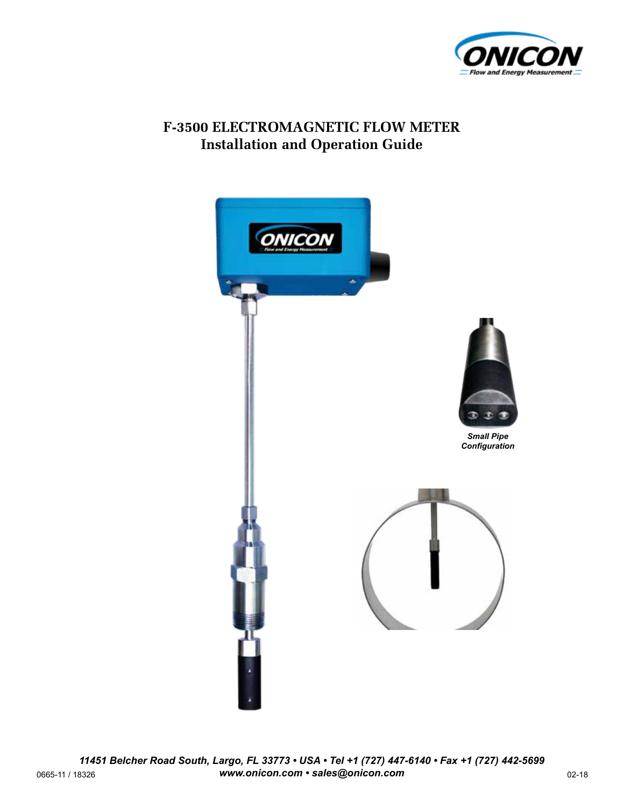

# **F-3500 ELECTROMAGNETIC FLOW METER Installation and Operation Guide**

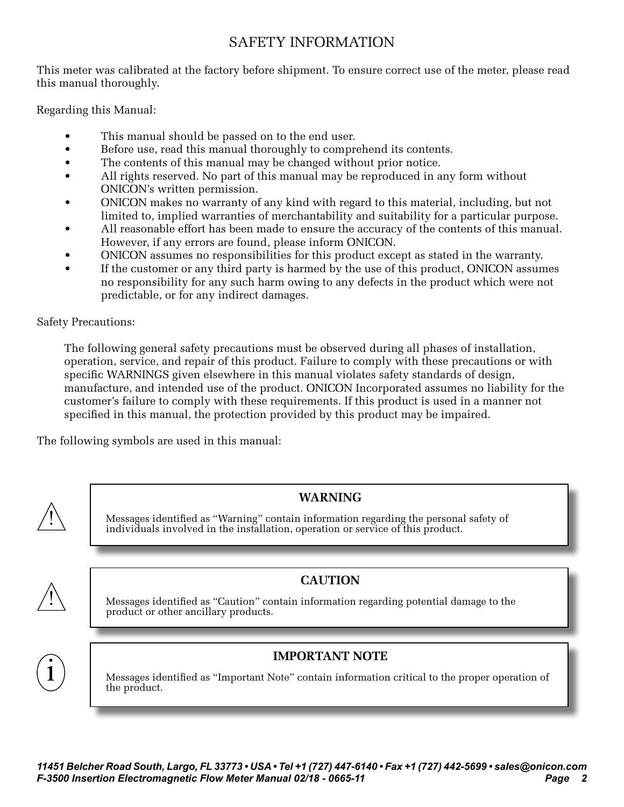# SAFETY INFORMATION

This meter was calibrated at the factory before shipment. To ensure correct use of the meter, please read this manual thoroughly.

Regarding this Manual:

- This manual should be passed on to the end user.
- Before use, read this manual thoroughly to comprehend its contents.
- The contents of this manual may be changed without prior notice.
- All rights reserved. No part of this manual may be reproduced in any form without ONICON's written permission.
- ONICON makes no warranty of any kind with regard to this material, including, but not limited to, implied warranties of merchantability and suitability for a particular purpose.
- All reasonable effort has been made to ensure the accuracy of the contents of this manual. However, if any errors are found, please inform ONICON.
- ONICON assumes no responsibilities for this product except as stated in the warranty.
- If the customer or any third party is harmed by the use of this product, ONICON assumes no responsibility for any such harm owing to any defects in the product which were not predictable, or for any indirect damages.

Safety Precautions:

The following general safety precautions must be observed during all phases of installation, operation, service, and repair of this product. Failure to comply with these precautions or with specific WARNINGS given elsewhere in this manual violates safety standards of design, manufacture, and intended use of the product. ONICON Incorporated assumes no liability for the customer's failure to comply with these requirements. If this product is used in a manner not specified in this manual, the protection provided by this product may be impaired.

The following symbols are used in this manual:

|     | <b>WARNING</b><br>Messages identified as "Warning" contain information regarding the personal safety of individuals involved in the installation, operation or service of this product. |
|-----|-----------------------------------------------------------------------------------------------------------------------------------------------------------------------------------------|
|     | <b>CAUTION</b><br>Messages identified as "Caution" contain information regarding potential damage to the<br>product or other ancillary products.                                        |
| (1) | <b>IMPORTANT NOTE</b><br>Messages identified as "Important Note" contain information critical to the proper operation of<br>the product.                                                |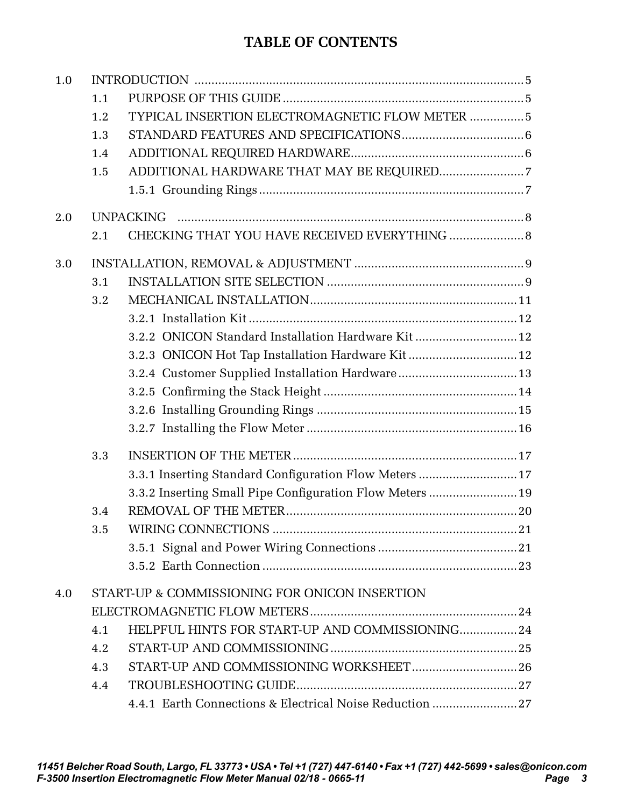# **TABLE OF CONTENTS**

| 1.0 |     |                                                          |  |  |  |
|-----|-----|----------------------------------------------------------|--|--|--|
|     | 1.1 |                                                          |  |  |  |
|     | 1.2 | TYPICAL INSERTION ELECTROMAGNETIC FLOW METER 5           |  |  |  |
|     | 1.3 |                                                          |  |  |  |
|     | 1.4 |                                                          |  |  |  |
|     | 1.5 |                                                          |  |  |  |
|     |     |                                                          |  |  |  |
| 2.0 |     | <b>UNPACKING</b>                                         |  |  |  |
|     | 2.1 | CHECKING THAT YOU HAVE RECEIVED EVERYTHING  8            |  |  |  |
| 3.0 |     |                                                          |  |  |  |
|     | 3.1 |                                                          |  |  |  |
|     | 3.2 |                                                          |  |  |  |
|     |     |                                                          |  |  |  |
|     |     | 3.2.2 ONICON Standard Installation Hardware Kit  12      |  |  |  |
|     |     | 3.2.3 ONICON Hot Tap Installation Hardware Kit  12       |  |  |  |
|     |     | 3.2.4 Customer Supplied Installation Hardware 13         |  |  |  |
|     |     |                                                          |  |  |  |
|     |     |                                                          |  |  |  |
|     |     |                                                          |  |  |  |
|     | 3.3 |                                                          |  |  |  |
|     |     | 3.3.1 Inserting Standard Configuration Flow Meters  17   |  |  |  |
|     |     | 3.3.2 Inserting Small Pipe Configuration Flow Meters  19 |  |  |  |
|     | 3.4 |                                                          |  |  |  |
|     | 3.5 |                                                          |  |  |  |
|     |     |                                                          |  |  |  |
|     |     |                                                          |  |  |  |
| 4.0 |     | START-UP & COMMISSIONING FOR ONICON INSERTION            |  |  |  |
|     |     |                                                          |  |  |  |
|     | 4.1 | HELPFUL HINTS FOR START-UP AND COMMISSIONING24           |  |  |  |
|     | 4.2 |                                                          |  |  |  |
|     | 4.3 | START-UP AND COMMISSIONING WORKSHEET 26                  |  |  |  |
|     | 4.4 |                                                          |  |  |  |
|     |     | 4.4.1 Earth Connections & Electrical Noise Reduction 27  |  |  |  |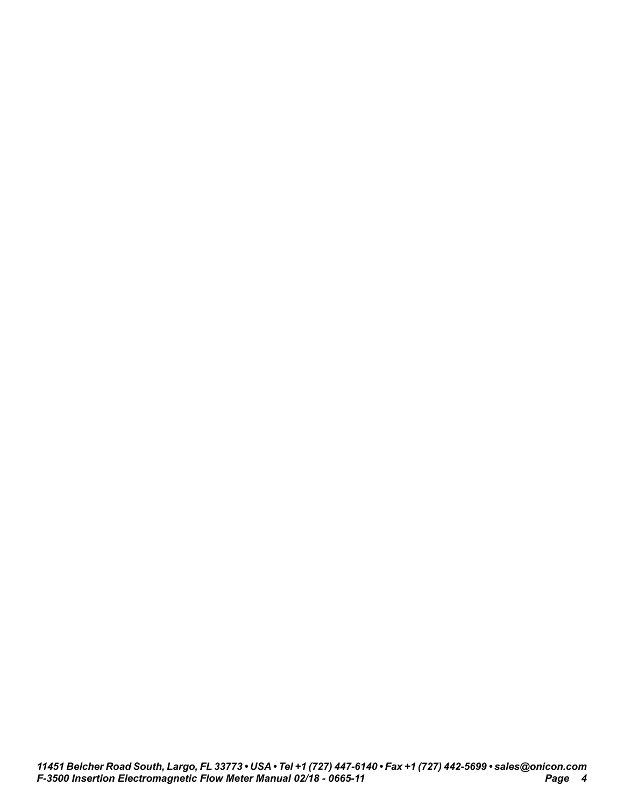*11451 Belcher Road South, Largo, FL 33773 • USA • Tel +1 (727) 447-6140 • Fax +1 (727) 442-5699 • sales@onicon.com F-3500 Insertion Electromagnetic Flow Meter Manual 02/18 - 0665-11 Page 4*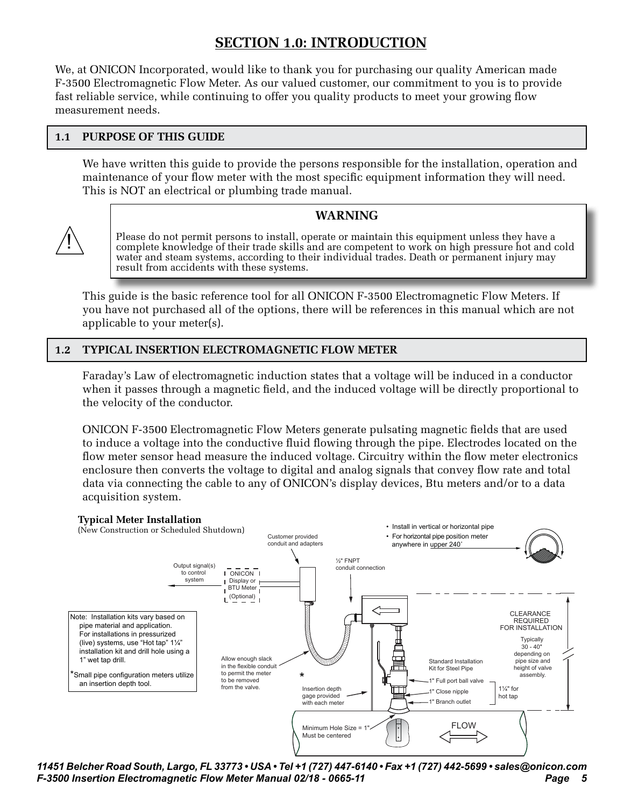# **SECTION 1.0: INTRODUCTION**

We, at ONICON Incorporated, would like to thank you for purchasing our quality American made F-3500 Electromagnetic Flow Meter. As our valued customer, our commitment to you is to provide fast reliable service, while continuing to offer you quality products to meet your growing flow measurement needs.

#### **1.1 PURPOSE OF THIS GUIDE**

!<br>!

We have written this guide to provide the persons responsible for the installation, operation and maintenance of your flow meter with the most specific equipment information they will need. This is NOT an electrical or plumbing trade manual.



Please do not permit persons to install, operate or maintain this equipment unless they have a complete knowledge of their trade skills and are competent to work on high pressure hot and cold water and steam systems, according to their individual trades. Death or permanent injury may result from accidents with these systems.

This guide is the basic reference tool for all ONICON F-3500 Electromagnetic Flow Meters. If you have not purchased all of the options, there will be references in this manual which are not applicable to your meter(s).

#### **1.2 TYPICAL INSERTION ELECTROMAGNETIC FLOW METER**

Faraday's Law of electromagnetic induction states that a voltage will be induced in a conductor when it passes through a magnetic field, and the induced voltage will be directly proportional to the velocity of the conductor.

ONICON F-3500 Electromagnetic Flow Meters generate pulsating magnetic fields that are used to induce a voltage into the conductive fluid flowing through the pipe. Electrodes located on the flow meter sensor head measure the induced voltage. Circuitry within the flow meter electronics enclosure then converts the voltage to digital and analog signals that convey flow rate and total data via connecting the cable to any of ONICON's display devices, Btu meters and/or to a data acquisition system.



11451 Belcher Road South, Largo, FL 33773 • USA • Tel +1 (727) 447-6140 • Fax +1 (727) 442-5699 • sales@onicon.com *F-3500 Insertion Electromagnetic Flow Meter Manual 02/18 - 0665-11 Page 5*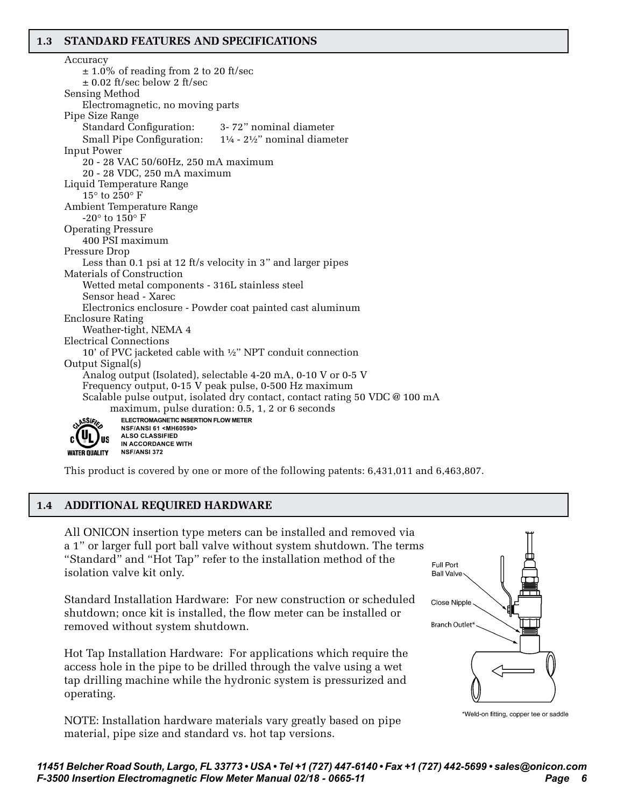Accuracy ± 1.0% of reading from 2 to 20 ft/sec ± 0.02 ft/sec below 2 ft/sec Sensing Method Electromagnetic, no moving parts Pipe Size Range Standard Configuration: 3- 72" nominal diameter Small Pipe Configuration: 1¼ - 2½" nominal diameter Input Power 20 - 28 VAC 50/60Hz, 250 mA maximum 20 - 28 VDC, 250 mA maximum Liquid Temperature Range 15° to 250° F Ambient Temperature Range -20 $\textdegree$  to 150 $\textdegree$  F Operating Pressure 400 PSI maximum Pressure Drop Less than 0.1 psi at 12 ft/s velocity in 3" and larger pipes Materials of Construction Wetted metal components - 316L stainless steel Sensor head - Xarec Electronics enclosure - Powder coat painted cast aluminum Enclosure Rating Weather-tight, NEMA 4 Electrical Connections 10' of PVC jacketed cable with ½" NPT conduit connection Output Signal(s) Analog output (Isolated), selectable 4-20 mA, 0-10 V or 0-5 V Frequency output, 0-15 V peak pulse, 0-500 Hz maximum Scalable pulse output, isolated dry contact, contact rating 50 VDC @ 100 mA maximum, pulse duration: 0.5, 1, 2 or 6 seconds **ELECTROMAGNETIC INSERTION FLOW METER NSF/ANSI 61 <MH60590> ALSO CLASSIFIED IN ACCORDANCE WITH WATER OUALITY NSF/ANSI 372**

This product is covered by one or more of the following patents: 6,431,011 and 6,463,807.

#### **1.4 ADDITIONAL REQUIRED HARDWARE**

All ONICON insertion type meters can be installed and removed via a 1" or larger full port ball valve without system shutdown. The terms "Standard" and "Hot Tap" refer to the installation method of the isolation valve kit only.

Standard Installation Hardware: For new construction or scheduled shutdown; once kit is installed, the flow meter can be installed or removed without system shutdown.

Hot Tap Installation Hardware: For applications which require the access hole in the pipe to be drilled through the valve using a wet tap drilling machine while the hydronic system is pressurized and operating.

NOTE: Installation hardware materials vary greatly based on pipe material, pipe size and standard vs. hot tap versions.



\*Weld-on fitting, copper tee or saddle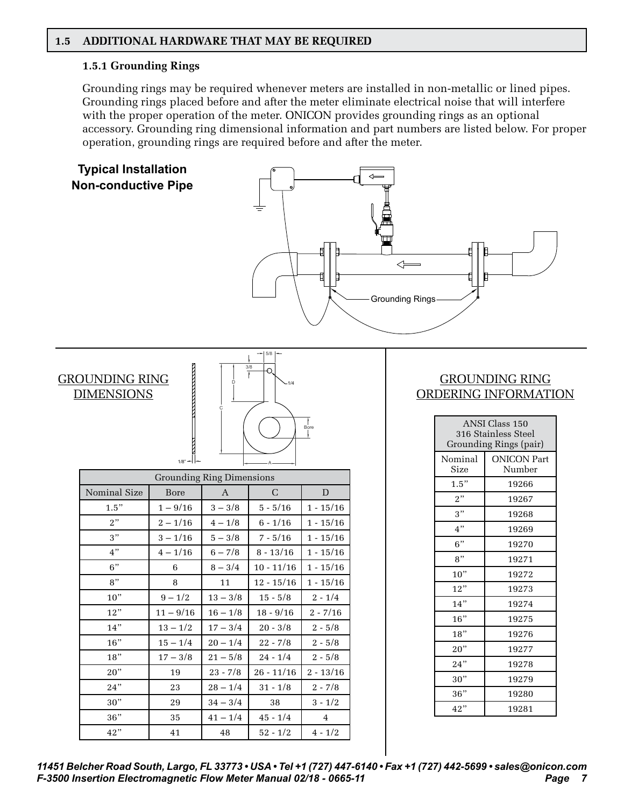#### **1.5.1 Grounding Rings**

Grounding rings may be required whenever meters are installed in non-metallic or lined pipes. Grounding rings placed before and after the meter eliminate electrical noise that will interfere with the proper operation of the meter. ONICON provides grounding rings as an optional accessory. Grounding ring dimensional information and part numbers are listed below. For proper operation, grounding rings are required before and after the meter.

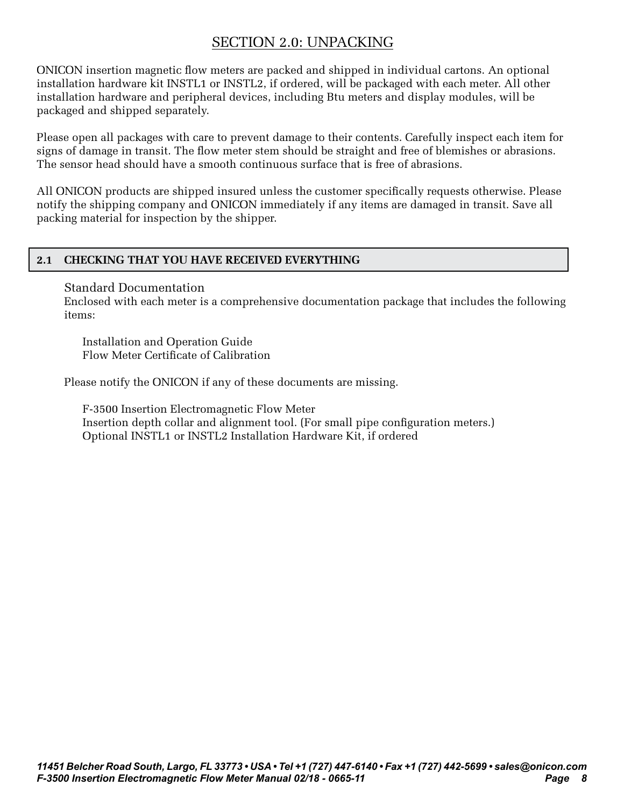# SECTION 2.0: UNPACKING

ONICON insertion magnetic flow meters are packed and shipped in individual cartons. An optional installation hardware kit INSTL1 or INSTL2, if ordered, will be packaged with each meter. All other installation hardware and peripheral devices, including Btu meters and display modules, will be packaged and shipped separately.

Please open all packages with care to prevent damage to their contents. Carefully inspect each item for signs of damage in transit. The flow meter stem should be straight and free of blemishes or abrasions. The sensor head should have a smooth continuous surface that is free of abrasions.

All ONICON products are shipped insured unless the customer specifically requests otherwise. Please notify the shipping company and ONICON immediately if any items are damaged in transit. Save all packing material for inspection by the shipper.

#### **2.1 CHECKING THAT YOU HAVE RECEIVED EVERYTHING**

Standard Documentation

Enclosed with each meter is a comprehensive documentation package that includes the following items:

Installation and Operation Guide Flow Meter Certificate of Calibration

Please notify the ONICON if any of these documents are missing.

F-3500 Insertion Electromagnetic Flow Meter Insertion depth collar and alignment tool. (For small pipe configuration meters.) Optional INSTL1 or INSTL2 Installation Hardware Kit, if ordered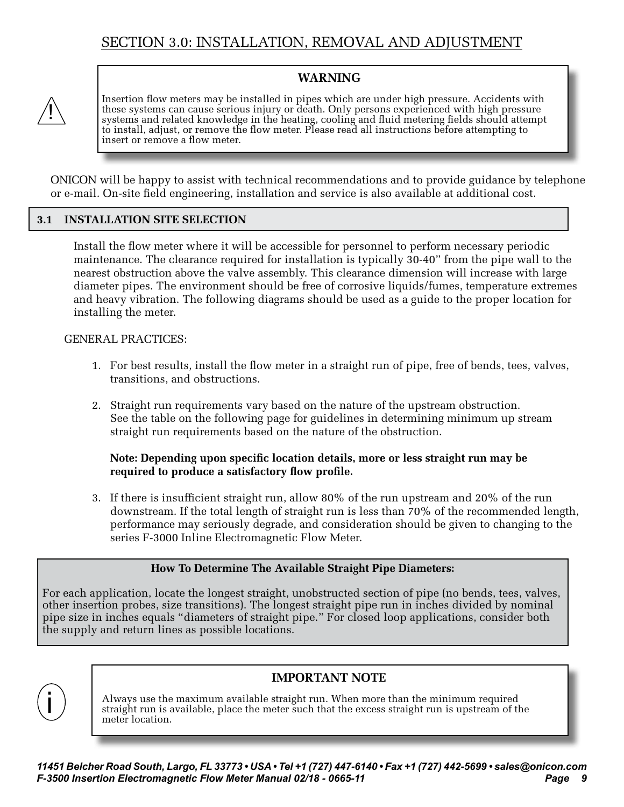

Insertion flow meters may be installed in pipes which are under high pressure. Accidents with these systems can cause serious injury or death. Only persons experienced with high pressure systems and related knowledge in the heating, cooling and fluid metering fields should attempt to install, adjust, or remove the flow meter. Please read all instructions before attempting to insert or remove a flow meter.

ONICON will be happy to assist with technical recommendations and to provide guidance by telephone or e-mail. On-site field engineering, installation and service is also available at additional cost.

#### **3.1 INSTALLATION SITE SELECTION**

!<br>!

Install the flow meter where it will be accessible for personnel to perform necessary periodic maintenance. The clearance required for installation is typically 30-40" from the pipe wall to the nearest obstruction above the valve assembly. This clearance dimension will increase with large diameter pipes. The environment should be free of corrosive liquids/fumes, temperature extremes and heavy vibration. The following diagrams should be used as a guide to the proper location for installing the meter.

#### GENERAL PRACTICES:

- 1. For best results, install the flow meter in a straight run of pipe, free of bends, tees, valves, transitions, and obstructions.
- 2. Straight run requirements vary based on the nature of the upstream obstruction. See the table on the following page for guidelines in determining minimum up stream straight run requirements based on the nature of the obstruction.

#### **Note: Depending upon specific location details, more or less straight run may be required to produce a satisfactory flow profile.**

3. If there is insufficient straight run, allow 80% of the run upstream and 20% of the run downstream. If the total length of straight run is less than 70% of the recommended length, performance may seriously degrade, and consideration should be given to changing to the series F-3000 Inline Electromagnetic Flow Meter.

#### **How To Determine The Available Straight Pipe Diameters:**

For each application, locate the longest straight, unobstructed section of pipe (no bends, tees, valves, other insertion probes, size transitions). The longest straight pipe run in inches divided by nominal pipe size in inches equals "diameters of straight pipe." For closed loop applications, consider both pipe size in inches equais anameters of straight p<br>the supply and return lines as possible locations.



#### **IMPORTANT NOTE**

Always use the maximum available straight run. When more than the minimum required straight run is available, place the meter such that the excess straight run is upstream of the meter location.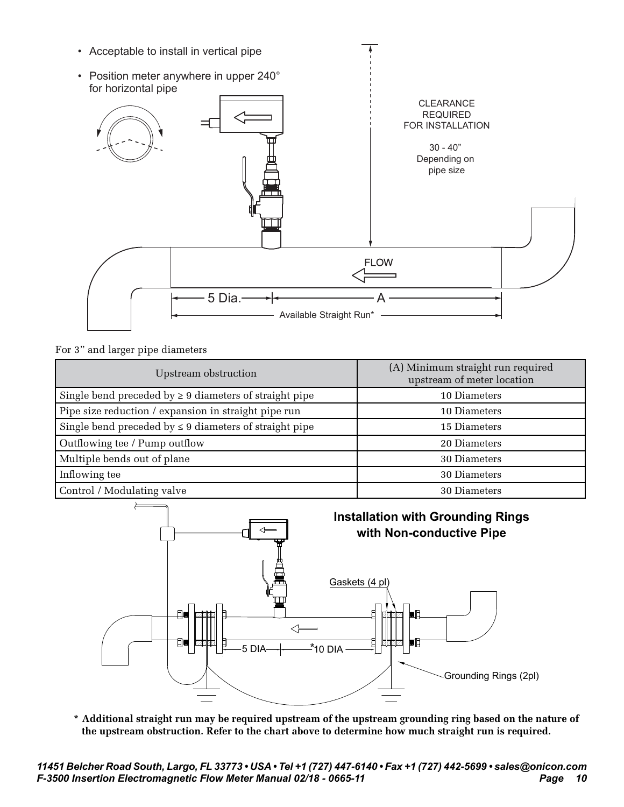

For 3" and larger pipe diameters

| Upstream obstruction                                        | (A) Minimum straight run required<br>upstream of meter location |
|-------------------------------------------------------------|-----------------------------------------------------------------|
| Single bend preceded by $\geq 9$ diameters of straight pipe | 10 Diameters                                                    |
| Pipe size reduction / expansion in straight pipe run        | 10 Diameters                                                    |
| Single bend preceded by $\leq 9$ diameters of straight pipe | 15 Diameters                                                    |
| Outflowing tee / Pump outflow                               | 20 Diameters                                                    |
| Multiple bends out of plane                                 | 30 Diameters                                                    |
| Inflowing tee                                               | 30 Diameters                                                    |
| Control / Modulating valve                                  | 30 Diameters                                                    |



**\* Additional straight run may be required upstream of the upstream grounding ring based on the nature of the upstream obstruction. Refer to the chart above to determine how much straight run is required.**

*11451 Belcher Road South, Largo, FL 33773 • USA • Tel +1 (727) 447-6140 • Fax +1 (727) 442-5699 • sales@onicon.com F-3500 Insertion Electromagnetic Flow Meter Manual 02/18 - 0665-11*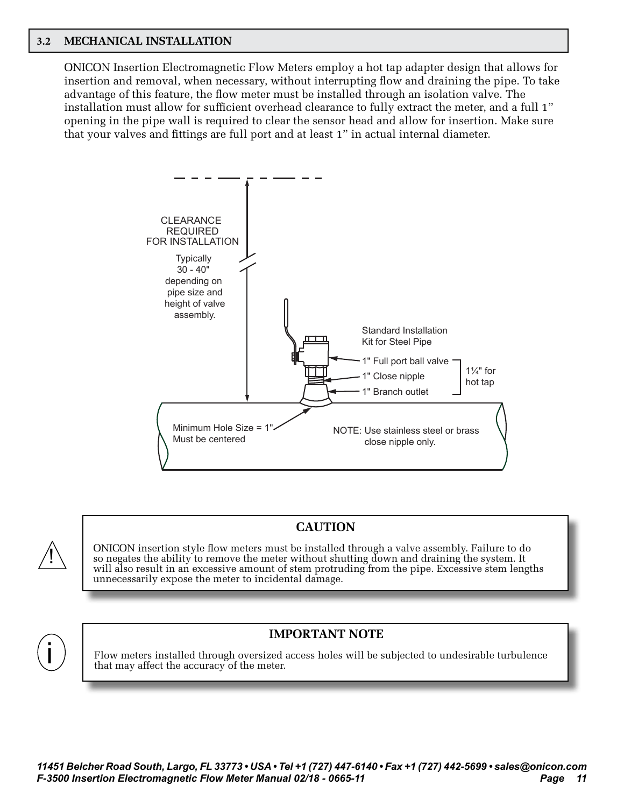#### **3.2 MECHANICAL INSTALLATION**

ONICON Insertion Electromagnetic Flow Meters employ a hot tap adapter design that allows for insertion and removal, when necessary, without interrupting flow and draining the pipe. To take advantage of this feature, the flow meter must be installed through an isolation valve. The installation must allow for sufficient overhead clearance to fully extract the meter, and a full 1" opening in the pipe wall is required to clear the sensor head and allow for insertion. Make sure that your valves and fittings are full port and at least 1" in actual internal diameter.





#### **CAUTION**

ONICON insertion style flow meters must be installed through a valve assembly. Failure to do so negates the ability to remove the meter without shutting down and draining the system. It will also result in an excessive amount of stem protruding from the pipe. Excessive stem lengths unnecessarily expose the meter to incidental damage.

# i

#### **IMPORTANT NOTE**

Flow meters installed through oversized access holes will be subjected to undesirable turbulence that may affect the accuracy of the meter.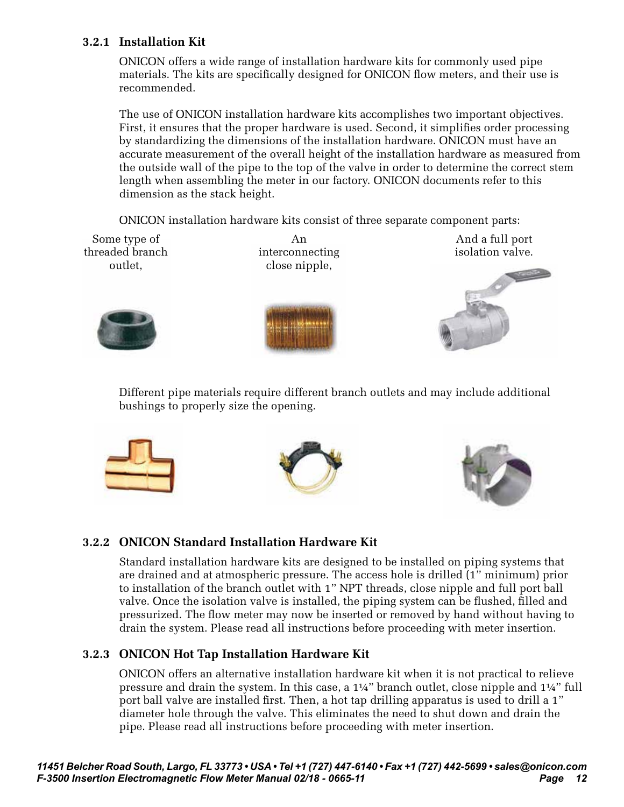#### **3.2.1 Installation Kit**

ONICON offers a wide range of installation hardware kits for commonly used pipe materials. The kits are specifically designed for ONICON flow meters, and their use is recommended.

The use of ONICON installation hardware kits accomplishes two important objectives. First, it ensures that the proper hardware is used. Second, it simplifies order processing by standardizing the dimensions of the installation hardware. ONICON must have an accurate measurement of the overall height of the installation hardware as measured from the outside wall of the pipe to the top of the valve in order to determine the correct stem length when assembling the meter in our factory. ONICON documents refer to this dimension as the stack height.

ONICON installation hardware kits consist of three separate component parts:

Some type of threaded branch outlet,

An interconnecting close nipple,





And a full port isolation valve.



 Different pipe materials require different branch outlets and may include additional bushings to properly size the opening.







# **3.2.2 ONICON Standard Installation Hardware Kit**

Standard installation hardware kits are designed to be installed on piping systems that are drained and at atmospheric pressure. The access hole is drilled (1" minimum) prior to installation of the branch outlet with 1" NPT threads, close nipple and full port ball valve. Once the isolation valve is installed, the piping system can be flushed, filled and pressurized. The flow meter may now be inserted or removed by hand without having to drain the system. Please read all instructions before proceeding with meter insertion.

#### **3.2.3 ONICON Hot Tap Installation Hardware Kit**

ONICON offers an alternative installation hardware kit when it is not practical to relieve pressure and drain the system. In this case, a 1¼" branch outlet, close nipple and 1¼" full port ball valve are installed first. Then, a hot tap drilling apparatus is used to drill a 1" diameter hole through the valve. This eliminates the need to shut down and drain the pipe. Please read all instructions before proceeding with meter insertion.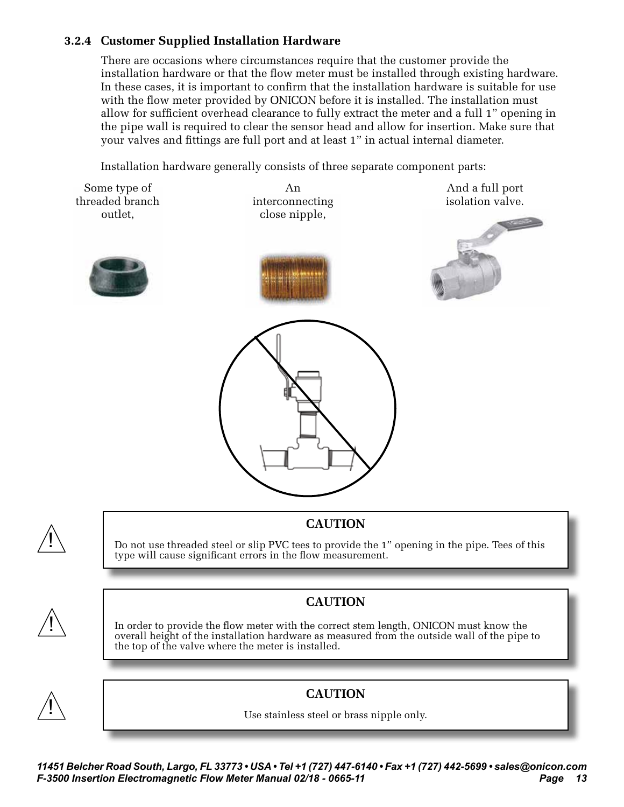# **3.2.4 Customer Supplied Installation Hardware**

There are occasions where circumstances require that the customer provide the installation hardware or that the flow meter must be installed through existing hardware. In these cases, it is important to confirm that the installation hardware is suitable for use with the flow meter provided by ONICON before it is installed. The installation must allow for sufficient overhead clearance to fully extract the meter and a full 1" opening in the pipe wall is required to clear the sensor head and allow for insertion. Make sure that your valves and fittings are full port and at least 1" in actual internal diameter.

> And a full port isolation valve.

Installation hardware generally consists of three separate component parts:

Some type of threaded branch outlet,

An interconnecting close nipple,







# **CAUTION**

Do not use threaded steel or slip PVC tees to provide the 1" opening in the pipe. Tees of this type will cause significant errors in the flow measurement.



# **CAUTION**

In order to provide the flow meter with the correct stem length, ONICON must know the overall height of the installation hardware as measured from the outside wall of the pipe to the top of the valve where the meter is installed.



**CAUTION**

Use stainless steel or brass nipple only.

*11451 Belcher Road South, Largo, FL 33773 • USA • Tel +1 (727) 447-6140 • Fax +1 (727) 442-5699 • sales@onicon.com F-3500 Insertion Electromagnetic Flow Meter Manual 02/18 - 0665-11 Page 13*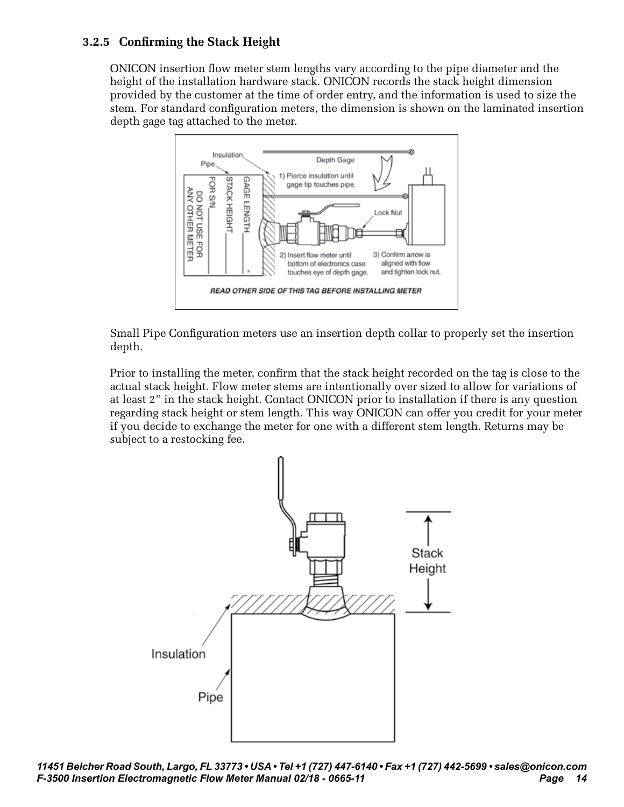# **3.2.5 Confirming the Stack Height**

ONICON insertion flow meter stem lengths vary according to the pipe diameter and the height of the installation hardware stack. ONICON records the stack height dimension provided by the customer at the time of order entry, and the information is used to size the stem. For standard configuration meters, the dimension is shown on the laminated insertion depth gage tag attached to the meter.



Small Pipe Configuration meters use an insertion depth collar to properly set the insertion depth.

Prior to installing the meter, confirm that the stack height recorded on the tag is close to the actual stack height. Flow meter stems are intentionally over sized to allow for variations of at least 2" in the stack height. Contact ONICON prior to installation if there is any question regarding stack height or stem length. This way ONICON can offer you credit for your meter if you decide to exchange the meter for one with a different stem length. Returns may be subject to a restocking fee.



*11451 Belcher Road South, Largo, FL 33773 • USA • Tel +1 (727) 447-6140 • Fax +1 (727) 442-5699 • sales@onicon.com* **F-3500 Insertion Electromagnetic Flow Meter Manual 02/18 - 0665-11**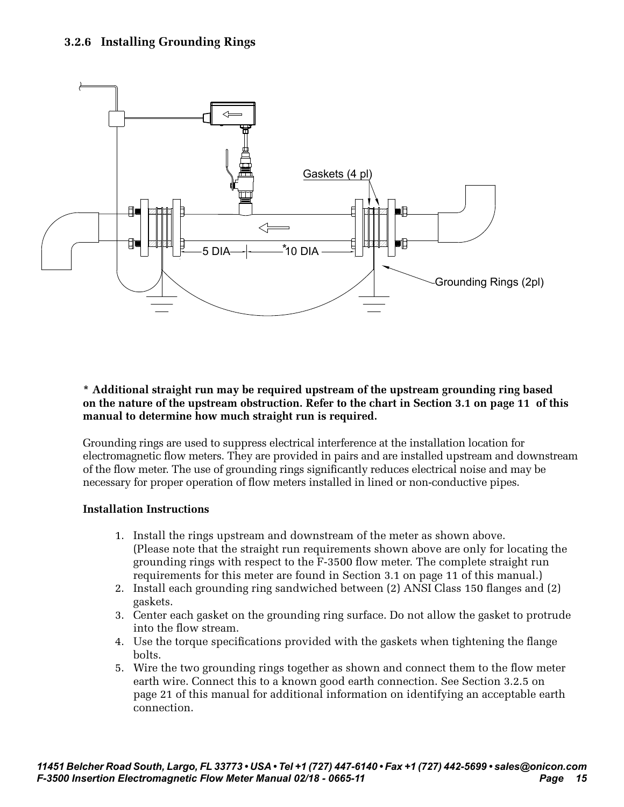## **3.2.6 Installing Grounding Rings**



**\* Additional straight run may be required upstream of the upstream grounding ring based on the nature of the upstream obstruction. Refer to the chart in Section 3.1 on page 11 of this manual to determine how much straight run is required.**

Grounding rings are used to suppress electrical interference at the installation location for electromagnetic flow meters. They are provided in pairs and are installed upstream and downstream of the flow meter. The use of grounding rings significantly reduces electrical noise and may be necessary for proper operation of flow meters installed in lined or non-conductive pipes.

#### **Installation Instructions**

- 1. Install the rings upstream and downstream of the meter as shown above. (Please note that the straight run requirements shown above are only for locating the grounding rings with respect to the F-3500 flow meter. The complete straight run requirements for this meter are found in Section 3.1 on page 11 of this manual.)
- 2. Install each grounding ring sandwiched between (2) ANSI Class 150 flanges and (2) gaskets.
- 3. Center each gasket on the grounding ring surface. Do not allow the gasket to protrude into the flow stream.
- 4. Use the torque specifications provided with the gaskets when tightening the flange bolts.
- 5. Wire the two grounding rings together as shown and connect them to the flow meter earth wire. Connect this to a known good earth connection. See Section 3.2.5 on page 21 of this manual for additional information on identifying an acceptable earth connection.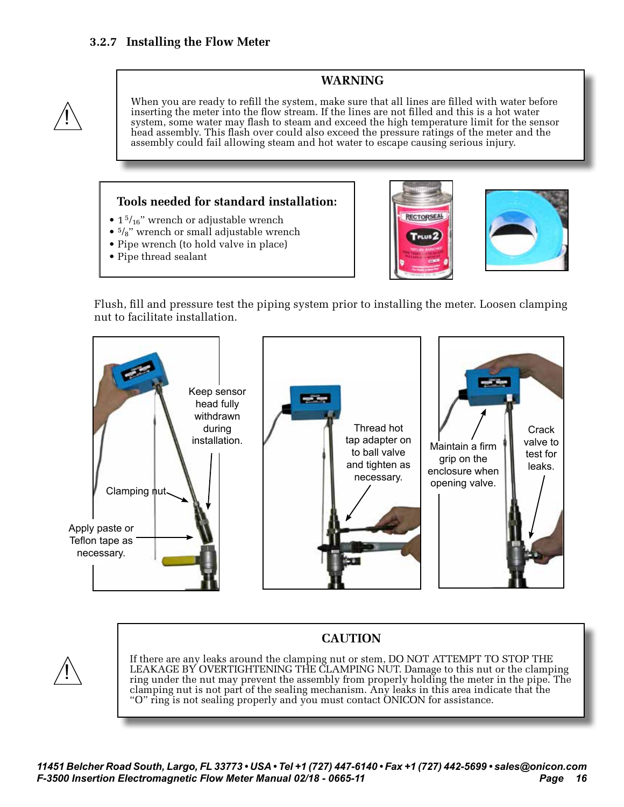#### **WARNING**

When you are ready to refill the system, make sure that all lines are filled with water before inserting the meter into the flow stream. If the lines are not filled and this is a hot water system, some water may flash to steam and exceed the high temperature limit for the sensor head assembly. This flash over could also exceed the pressure ratings of the meter and the assembly could fail allowing steam and hot water to escape causing serious injury.

#### **Tools needed for standard installation:**

- $1<sup>5</sup>/<sub>16</sub>$ " wrench or adjustable wrench
- $\bullet$   $^{5}\!/_{8}$  " wrench or small adjustable wrench
- Pipe wrench (to hold valve in place)
- Pipe thread sealant

!

!





Flush, fill and pressure test the piping system prior to installing the meter. Loosen clamping nut to facilitate installation.



#### **CAUTION**

If there are any leaks around the clamping nut or stem, DO NOT ATTEMPT TO STOP THE LEAKAGE BY OVERTIGHTENING THE CLAMPING NUT. Damage to this nut or the clamping ring under the nut may prevent the assembly from properly holding the meter in the pipe. The clamping nut is not part of the sealing mechanism. Any leaks in this area indicate that the "O" ring is not sealing properly and you must contact ONICON for assistance.

*11451 Belcher Road South, Largo, FL 33773 • USA • Tel +1 (727) 447-6140 • Fax +1 (727) 442-5699 • sales@onicon.com F-3500 Insertion Electromagnetic Flow Meter Manual 02/18 - 0665-11 Page 16*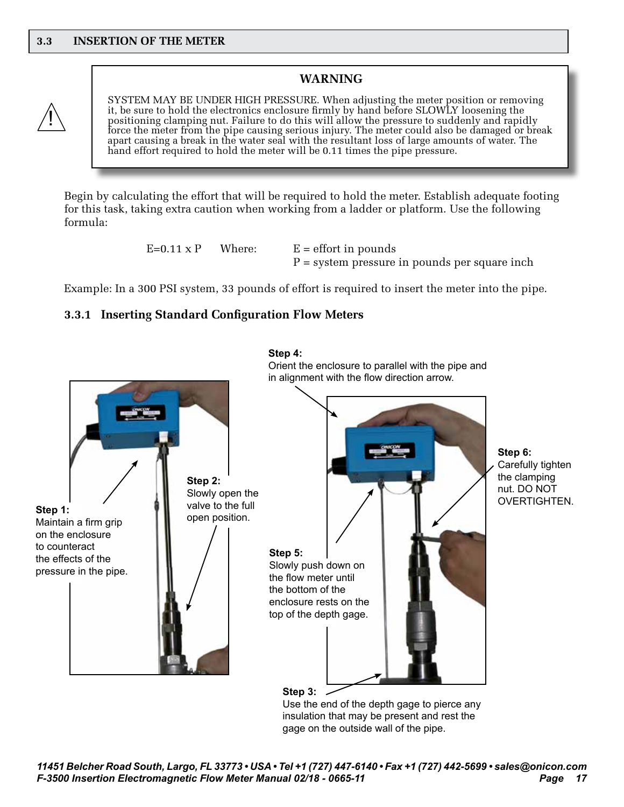!

#### **WARNING**

SYSTEM MAY BE UNDER HIGH PRESSURE. When adjusting the meter position or removing it, be sure to hold the electronics enclosure firmly by hand before SLOWLY loosening the positioning clamping nut. Failure to do this will allow the pressure to suddenly and rapidly force the meter from the pipe causing serious injury. The meter could also be damaged or break apart causing a break in the water seal with the resultant loss of large amounts of water. The hand effort required to hold the meter will be 0.11 times the pipe pressure.

Begin by calculating the effort that will be required to hold the meter. Establish adequate footing for this task, taking extra caution when working from a ladder or platform. Use the following formula:

> $E=0.11 \times P$  Where:  $E =$  effort in pounds  $P =$  system pressure in pounds per square inch

Example: In a 300 PSI system, 33 pounds of effort is required to insert the meter into the pipe.

#### **3.3.1 Inserting Standard Configuration Flow Meters**



*11451 Belcher Road South, Largo, FL 33773 • USA • Tel +1 (727) 447-6140 • Fax +1 (727) 442-5699 • sales@onicon.com F-3500 Insertion Electromagnetic Flow Meter Manual 02/18 - 0665-11*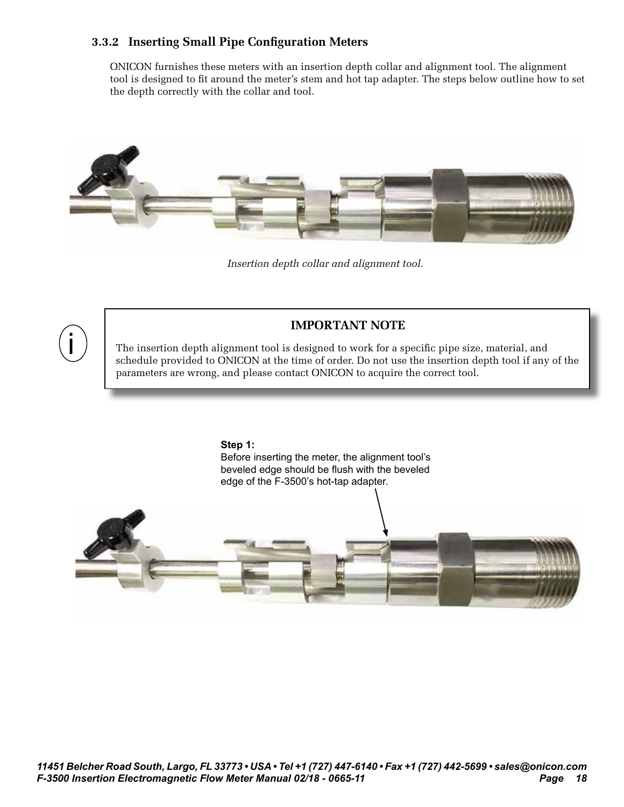## **3.3.2 Inserting Small Pipe Configuration Meters**

ONICON furnishes these meters with an insertion depth collar and alignment tool. The alignment tool is designed to fit around the meter's stem and hot tap adapter. The steps below outline how to set the depth correctly with the collar and tool.



*Insertion depth collar and alignment tool.*



#### **IMPORTANT NOTE**

The insertion depth alignment tool is designed to work for a specific pipe size, material, and schedule provided to ONICON at the time of order. Do not use the insertion depth tool if any of the parameters are wrong, and please contact ONICON to acquire the correct tool.

> **Step 1:** Before inserting the meter, the alignment tool's beveled edge should be flush with the beveled edge of the F-3500's hot-tap adapter.

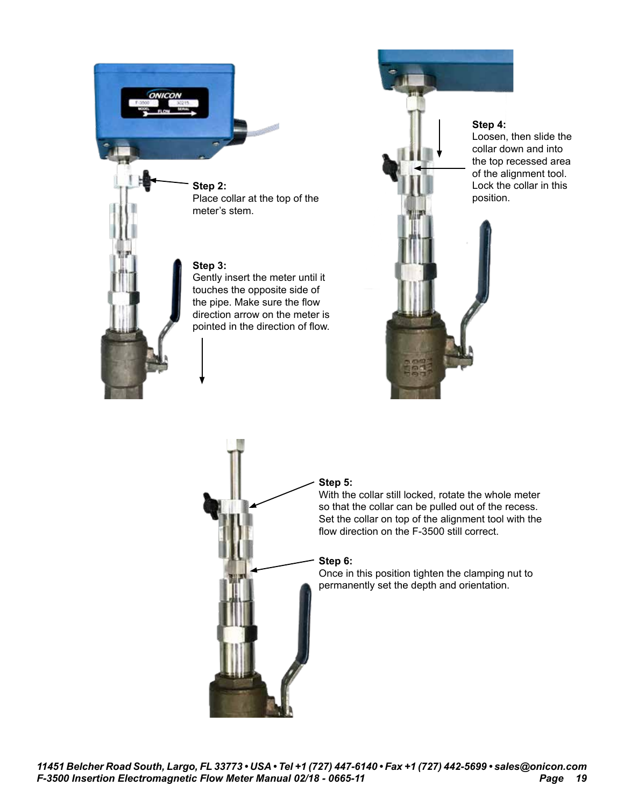

**Step 2:** Place collar at the top of the meter's stem.

#### **Step 3:**

Gently insert the meter until it touches the opposite side of the pipe. Make sure the flow direction arrow on the meter is pointed in the direction of flow.



Loosen, then slide the collar down and into the top recessed area of the alignment tool. Lock the collar in this



With the collar still locked, rotate the whole meter so that the collar can be pulled out of the recess. Set the collar on top of the alignment tool with the flow direction on the F-3500 still correct.

Once in this position tighten the clamping nut to permanently set the depth and orientation.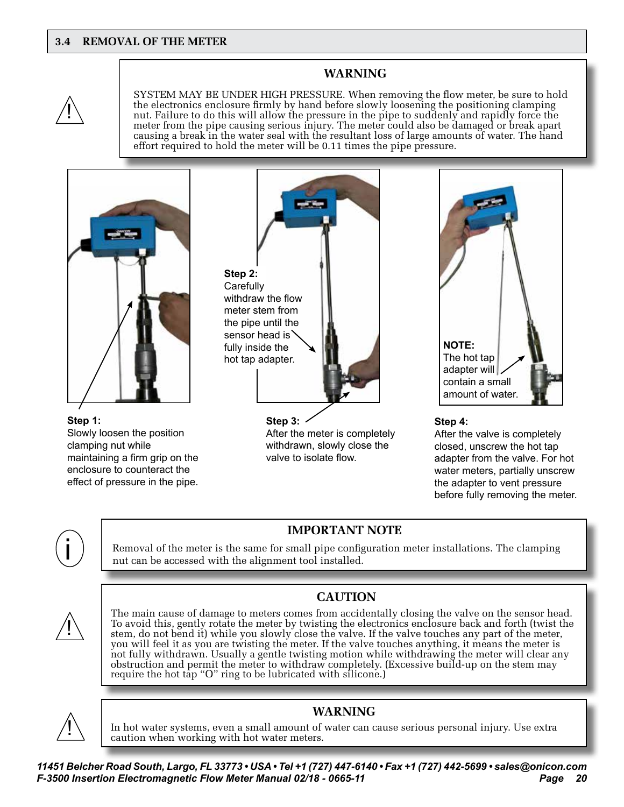!

#### **WARNING**

SYSTEM MAY BE UNDER HIGH PRESSURE. When removing the flow meter, be sure to hold the electronics enclosure firmly by hand before slowly loosening the positioning clamping nut. Failure to do this will allow the pressure in the pipe to suddenly and rapidly force the meter from the pipe causing serious injury. The meter could also be damaged or break apart causing a break in the water seal with the resultant loss of large amounts of water. The hand effort required to hold the meter will be 0.11 times the pipe pressure.



**Step 1:** Slowly loosen the position clamping nut while maintaining a firm grip on the enclosure to counteract the<br>effect of pressure in the pine effect of pressure in the pipe.



**Step 3:** After the meter is completely withdrawn, slowly close the valve to isolate flow.



#### **Step 4:**

After the valve is completely closed, unscrew the hot tap adapter from the valve. For hot water meters, partially unscrew the adapter to vent pressure before fully removing the meter.



# **IMPORTANT NOTE**

Removal of the meter is the same for small pipe configuration meter installations. The clamping nut can be accessed with the alignment tool installed.



# **CAUTION**

The main cause of damage to meters comes from accidentally closing the valve on the sensor head. To avoid this, gently rotate the meter by twisting the electronics enclosure back and forth (twist the stem, do not bend it) while you slowly close the valve. If the valve touches any part of the meter, you will feel it as you are twisting the meter. If the valve touches anything, it means the meter is not fully withdrawn. Usually a gentle twisting motion while withdrawing the meter will clear any obstruction and permit the meter to withdraw completely. (Excessive build-up on the stem may require the hot tap "O" ring to be lubricated with silicone.)



# **WARNING**

In hot water systems, even a small amount of water can cause serious personal injury. Use extra caution when working with hot water meters.

*11451 Belcher Road South, Largo, FL 33773 • USA • Tel +1 (727) 447-6140 • Fax +1 (727) 442-5699 • sales@onicon.com F-3500 Insertion Electromagnetic Flow Meter Manual 02/18 - 0665-11 Page 20*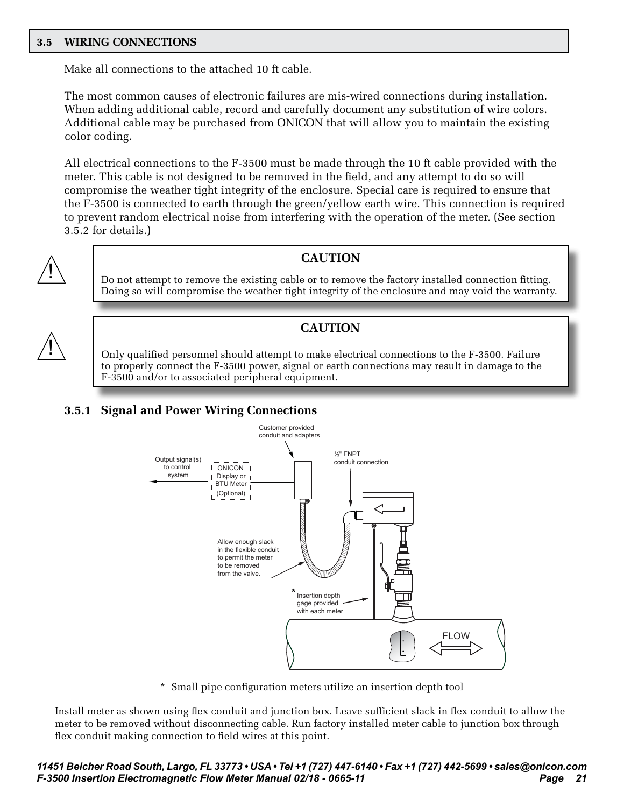#### **3.5 WIRING CONNECTIONS**

Make all connections to the attached 10 ft cable.

The most common causes of electronic failures are mis-wired connections during installation. When adding additional cable, record and carefully document any substitution of wire colors. Additional cable may be purchased from ONICON that will allow you to maintain the existing color coding.

All electrical connections to the F-3500 must be made through the 10 ft cable provided with the meter. This cable is not designed to be removed in the field, and any attempt to do so will compromise the weather tight integrity of the enclosure. Special care is required to ensure that the F-3500 is connected to earth through the green/yellow earth wire. This connection is required to prevent random electrical noise from interfering with the operation of the meter. (See section 3.5.2 for details.)



#### **CAUTION**

Do not attempt to remove the existing cable or to remove the factory installed connection fitting. Doing so will compromise the weather tight integrity of the enclosure and may void the warranty.



# **CAUTION**

Only qualified personnel should attempt to make electrical connections to the F-3500. Failure to properly connect the F-3500 power, signal or earth connections may result in damage to the F-3500 and/or to associated peripheral equipment.

#### **3.5.1 Signal and Power Wiring Connections**



\* Small pipe configuration meters utilize an insertion depth tool

Install meter as shown using flex conduit and junction box. Leave sufficient slack in flex conduit to allow the meter to be removed without disconnecting cable. Run factory installed meter cable to junction box through flex conduit making connection to field wires at this point.

*11451 Belcher Road South, Largo, FL 33773 • USA • Tel +1 (727) 447-6140 • Fax +1 (727) 442-5699 • sales@onicon.com F-3500 Insertion Electromagnetic Flow Meter Manual 02/18 - 0665-11 Page 21*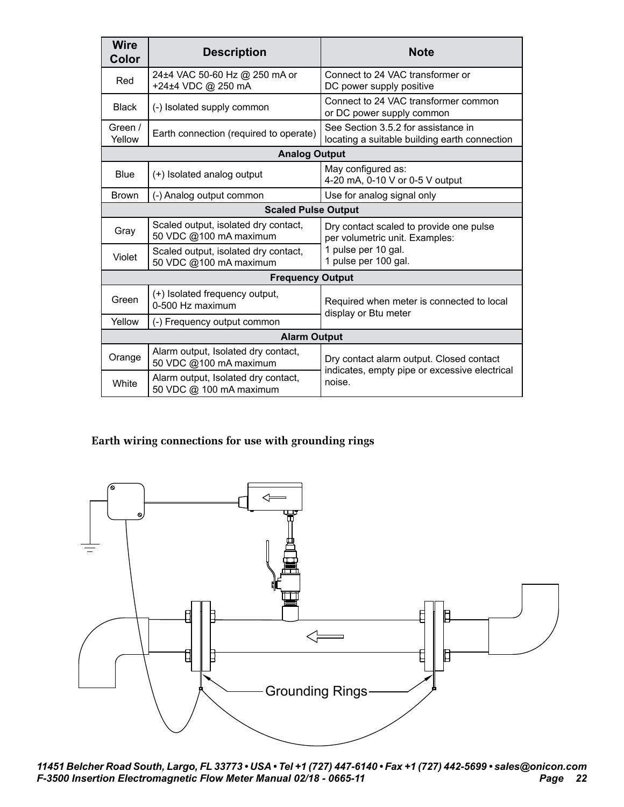| <b>Wire</b><br>Color    | <b>Description</b>                                             | <b>Note</b>                                                                               |  |  |
|-------------------------|----------------------------------------------------------------|-------------------------------------------------------------------------------------------|--|--|
| Red                     | 24±4 VAC 50-60 Hz @ 250 mA or<br>+24±4 VDC @ 250 mA            | Connect to 24 VAC transformer or<br>DC power supply positive                              |  |  |
| <b>Black</b>            | (-) Isolated supply common                                     | Connect to 24 VAC transformer common<br>or DC power supply common                         |  |  |
| Green /<br>Yellow       | Earth connection (required to operate)                         | See Section 3.5.2 for assistance in<br>locating a suitable building earth connection      |  |  |
| <b>Analog Output</b>    |                                                                |                                                                                           |  |  |
| <b>Blue</b>             | (+) Isolated analog output                                     | May configured as:<br>4-20 mA, 0-10 V or 0-5 V output                                     |  |  |
| <b>Brown</b>            | (-) Analog output common                                       | Use for analog signal only                                                                |  |  |
|                         | <b>Scaled Pulse Output</b>                                     |                                                                                           |  |  |
| Gray                    | Scaled output, isolated dry contact,<br>50 VDC @100 mA maximum | Dry contact scaled to provide one pulse<br>per volumetric unit. Examples:                 |  |  |
| Violet                  | Scaled output, isolated dry contact,<br>50 VDC @100 mA maximum | 1 pulse per 10 gal.<br>1 pulse per 100 gal.                                               |  |  |
| <b>Frequency Output</b> |                                                                |                                                                                           |  |  |
| Green                   | (+) Isolated frequency output,<br>0-500 Hz maximum             | Required when meter is connected to local<br>display or Btu meter                         |  |  |
| Yellow                  | (-) Frequency output common                                    |                                                                                           |  |  |
| <b>Alarm Output</b>     |                                                                |                                                                                           |  |  |
| Orange                  | Alarm output, Isolated dry contact,<br>50 VDC @100 mA maximum  | Dry contact alarm output. Closed contact<br>indicates, empty pipe or excessive electrical |  |  |
| White                   | Alarm output, Isolated dry contact,<br>50 VDC @ 100 mA maximum | noise.                                                                                    |  |  |

# **Earth wiring connections for use with grounding rings**



*11451 Belcher Road South, Largo, FL 33773 • USA • Tel +1 (727) 447-6140 • Fax +1 (727) 442-5699 • sales@onicon.com F-3500 Insertion Electromagnetic Flow Meter Manual 02/18 - 0665-11 Page 22*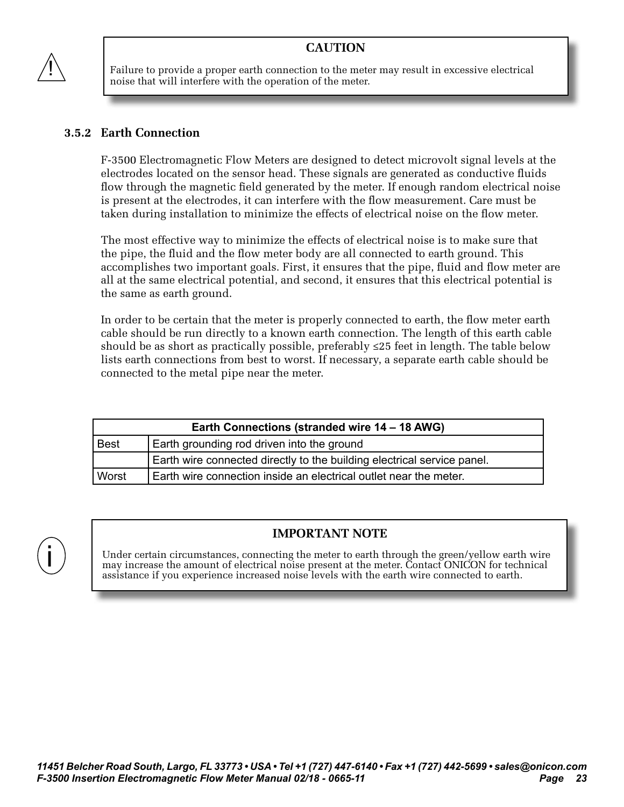!

i

Failure to provide a proper earth connection to the meter may result in excessive electrical noise that will interfere with the operation of the meter.

#### **3.5.2 Earth Connection**

F-3500 Electromagnetic Flow Meters are designed to detect microvolt signal levels at the electrodes located on the sensor head. These signals are generated as conductive fluids flow through the magnetic field generated by the meter. If enough random electrical noise is present at the electrodes, it can interfere with the flow measurement. Care must be taken during installation to minimize the effects of electrical noise on the flow meter.

The most effective way to minimize the effects of electrical noise is to make sure that the pipe, the fluid and the flow meter body are all connected to earth ground. This accomplishes two important goals. First, it ensures that the pipe, fluid and flow meter are all at the same electrical potential, and second, it ensures that this electrical potential is the same as earth ground.

In order to be certain that the meter is properly connected to earth, the flow meter earth cable should be run directly to a known earth connection. The length of this earth cable should be as short as practically possible, preferably  $\leq$ 25 feet in length. The table below lists earth connections from best to worst. If necessary, a separate earth cable should be connected to the metal pipe near the meter.

| Earth Connections (stranded wire 14 – 18 AWG) |                                                                         |  |  |
|-----------------------------------------------|-------------------------------------------------------------------------|--|--|
| <b>Best</b>                                   | Earth grounding rod driven into the ground                              |  |  |
|                                               | Earth wire connected directly to the building electrical service panel. |  |  |
| Worst                                         | Earth wire connection inside an electrical outlet near the meter.       |  |  |

#### **IMPORTANT NOTE**

Under certain circumstances, connecting the meter to earth through the green/yellow earth wire may increase the amount of electrical noise present at the meter. Contact ONICON for technical assistance if you experience increased noise levels with the earth wire connected to earth.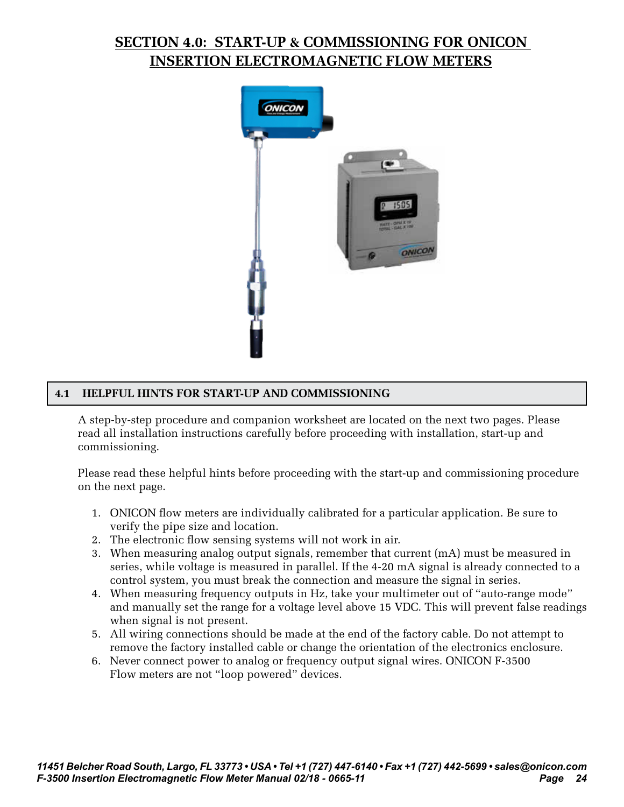# **SECTION 4.0: START-UP & COMMISSIONING FOR ONICON INSERTION ELECTROMAGNETIC FLOW METERS**



#### **4.1 HELPFUL HINTS FOR START-UP AND COMMISSIONING**

A step-by-step procedure and companion worksheet are located on the next two pages. Please read all installation instructions carefully before proceeding with installation, start-up and commissioning.

Please read these helpful hints before proceeding with the start-up and commissioning procedure on the next page.

- 1. ONICON flow meters are individually calibrated for a particular application. Be sure to verify the pipe size and location.
- 2. The electronic flow sensing systems will not work in air.
- 3. When measuring analog output signals, remember that current (mA) must be measured in series, while voltage is measured in parallel. If the 4-20 mA signal is already connected to a control system, you must break the connection and measure the signal in series.
- 4. When measuring frequency outputs in Hz, take your multimeter out of "auto-range mode" and manually set the range for a voltage level above 15 VDC. This will prevent false readings when signal is not present.
- 5. All wiring connections should be made at the end of the factory cable. Do not attempt to remove the factory installed cable or change the orientation of the electronics enclosure.
- 6. Never connect power to analog or frequency output signal wires. ONICON F-3500 Flow meters are not "loop powered" devices.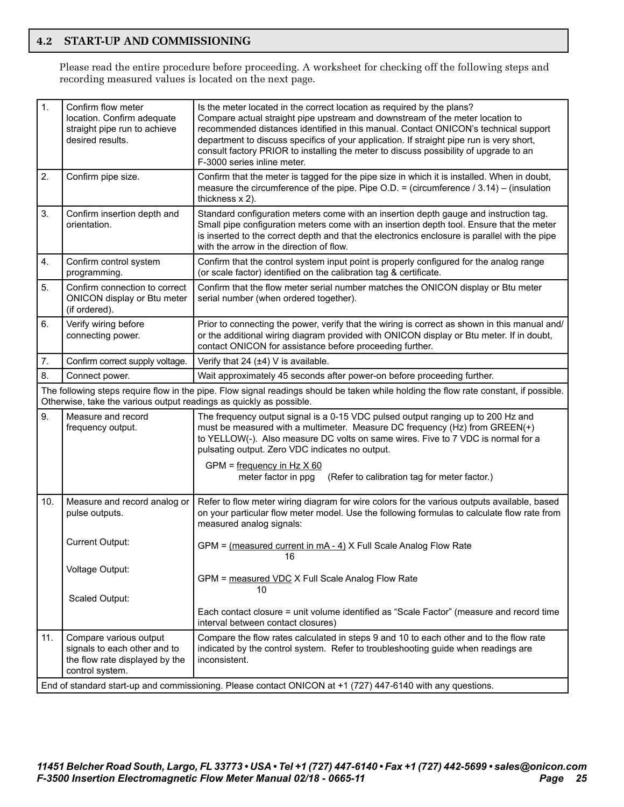#### **4.2 START-UP AND COMMISSIONING**

Please read the entire procedure before proceeding. A worksheet for checking off the following steps and recording measured values is located on the next page.

| 1.<br>Confirm flow meter<br>Is the meter located in the correct location as required by the plans?<br>location. Confirm adequate<br>Compare actual straight pipe upstream and downstream of the meter location to<br>straight pipe run to achieve<br>recommended distances identified in this manual. Contact ONICON's technical support<br>desired results.<br>department to discuss specifics of your application. If straight pipe run is very short,<br>consult factory PRIOR to installing the meter to discuss possibility of upgrade to an<br>F-3000 series inline meter.<br>2.<br>Confirm that the meter is tagged for the pipe size in which it is installed. When in doubt,<br>Confirm pipe size.<br>measure the circumference of the pipe. Pipe O.D. = (circumference / 3.14) - (insulation<br>thickness x 2).<br>3.<br>Confirm insertion depth and<br>Standard configuration meters come with an insertion depth gauge and instruction tag.<br>orientation.<br>Small pipe configuration meters come with an insertion depth tool. Ensure that the meter<br>is inserted to the correct depth and that the electronics enclosure is parallel with the pipe<br>with the arrow in the direction of flow.<br>Confirm control system<br>Confirm that the control system input point is properly configured for the analog range<br>4.<br>(or scale factor) identified on the calibration tag & certificate.<br>programming.<br>5.<br>Confirm connection to correct<br>Confirm that the flow meter serial number matches the ONICON display or Btu meter<br>ONICON display or Btu meter<br>serial number (when ordered together).<br>(if ordered).<br>6.<br>Verify wiring before<br>Prior to connecting the power, verify that the wiring is correct as shown in this manual and/<br>or the additional wiring diagram provided with ONICON display or Btu meter. If in doubt,<br>connecting power.<br>contact ONICON for assistance before proceeding further.<br>7.<br>Verify that 24 (±4) V is available.<br>Confirm correct supply voltage.<br>8.<br>Wait approximately 45 seconds after power-on before proceeding further.<br>Connect power.<br>The following steps require flow in the pipe. Flow signal readings should be taken while holding the flow rate constant, if possible.<br>Otherwise, take the various output readings as quickly as possible.<br>9.<br>The frequency output signal is a 0-15 VDC pulsed output ranging up to 200 Hz and<br>Measure and record<br>must be measured with a multimeter. Measure DC frequency (Hz) from GREEN(+)<br>frequency output.<br>to YELLOW(-). Also measure DC volts on same wires. Five to 7 VDC is normal for a<br>pulsating output. Zero VDC indicates no output.<br>GPM = $frequency in Hz X 60$<br>meter factor in ppg<br>(Refer to calibration tag for meter factor.)<br>Refer to flow meter wiring diagram for wire colors for the various outputs available, based<br>10.<br>Measure and record analog or<br>on your particular flow meter model. Use the following formulas to calculate flow rate from<br>pulse outputs.<br>measured analog signals: |     |                        |                                                                                                                                                                                              |
|-----------------------------------------------------------------------------------------------------------------------------------------------------------------------------------------------------------------------------------------------------------------------------------------------------------------------------------------------------------------------------------------------------------------------------------------------------------------------------------------------------------------------------------------------------------------------------------------------------------------------------------------------------------------------------------------------------------------------------------------------------------------------------------------------------------------------------------------------------------------------------------------------------------------------------------------------------------------------------------------------------------------------------------------------------------------------------------------------------------------------------------------------------------------------------------------------------------------------------------------------------------------------------------------------------------------------------------------------------------------------------------------------------------------------------------------------------------------------------------------------------------------------------------------------------------------------------------------------------------------------------------------------------------------------------------------------------------------------------------------------------------------------------------------------------------------------------------------------------------------------------------------------------------------------------------------------------------------------------------------------------------------------------------------------------------------------------------------------------------------------------------------------------------------------------------------------------------------------------------------------------------------------------------------------------------------------------------------------------------------------------------------------------------------------------------------------------------------------------------------------------------------------------------------------------------------------------------------------------------------------------------------------------------------------------------------------------------------------------------------------------------------------------------------------------------------------------------------------------------------------------------------------------------------------------------------------------------------------------------------------------------------------------------------------------------------------------------------------------------------------------|-----|------------------------|----------------------------------------------------------------------------------------------------------------------------------------------------------------------------------------------|
|                                                                                                                                                                                                                                                                                                                                                                                                                                                                                                                                                                                                                                                                                                                                                                                                                                                                                                                                                                                                                                                                                                                                                                                                                                                                                                                                                                                                                                                                                                                                                                                                                                                                                                                                                                                                                                                                                                                                                                                                                                                                                                                                                                                                                                                                                                                                                                                                                                                                                                                                                                                                                                                                                                                                                                                                                                                                                                                                                                                                                                                                                                                             |     |                        |                                                                                                                                                                                              |
|                                                                                                                                                                                                                                                                                                                                                                                                                                                                                                                                                                                                                                                                                                                                                                                                                                                                                                                                                                                                                                                                                                                                                                                                                                                                                                                                                                                                                                                                                                                                                                                                                                                                                                                                                                                                                                                                                                                                                                                                                                                                                                                                                                                                                                                                                                                                                                                                                                                                                                                                                                                                                                                                                                                                                                                                                                                                                                                                                                                                                                                                                                                             |     |                        |                                                                                                                                                                                              |
|                                                                                                                                                                                                                                                                                                                                                                                                                                                                                                                                                                                                                                                                                                                                                                                                                                                                                                                                                                                                                                                                                                                                                                                                                                                                                                                                                                                                                                                                                                                                                                                                                                                                                                                                                                                                                                                                                                                                                                                                                                                                                                                                                                                                                                                                                                                                                                                                                                                                                                                                                                                                                                                                                                                                                                                                                                                                                                                                                                                                                                                                                                                             |     |                        |                                                                                                                                                                                              |
|                                                                                                                                                                                                                                                                                                                                                                                                                                                                                                                                                                                                                                                                                                                                                                                                                                                                                                                                                                                                                                                                                                                                                                                                                                                                                                                                                                                                                                                                                                                                                                                                                                                                                                                                                                                                                                                                                                                                                                                                                                                                                                                                                                                                                                                                                                                                                                                                                                                                                                                                                                                                                                                                                                                                                                                                                                                                                                                                                                                                                                                                                                                             |     |                        |                                                                                                                                                                                              |
|                                                                                                                                                                                                                                                                                                                                                                                                                                                                                                                                                                                                                                                                                                                                                                                                                                                                                                                                                                                                                                                                                                                                                                                                                                                                                                                                                                                                                                                                                                                                                                                                                                                                                                                                                                                                                                                                                                                                                                                                                                                                                                                                                                                                                                                                                                                                                                                                                                                                                                                                                                                                                                                                                                                                                                                                                                                                                                                                                                                                                                                                                                                             |     |                        |                                                                                                                                                                                              |
|                                                                                                                                                                                                                                                                                                                                                                                                                                                                                                                                                                                                                                                                                                                                                                                                                                                                                                                                                                                                                                                                                                                                                                                                                                                                                                                                                                                                                                                                                                                                                                                                                                                                                                                                                                                                                                                                                                                                                                                                                                                                                                                                                                                                                                                                                                                                                                                                                                                                                                                                                                                                                                                                                                                                                                                                                                                                                                                                                                                                                                                                                                                             |     |                        |                                                                                                                                                                                              |
|                                                                                                                                                                                                                                                                                                                                                                                                                                                                                                                                                                                                                                                                                                                                                                                                                                                                                                                                                                                                                                                                                                                                                                                                                                                                                                                                                                                                                                                                                                                                                                                                                                                                                                                                                                                                                                                                                                                                                                                                                                                                                                                                                                                                                                                                                                                                                                                                                                                                                                                                                                                                                                                                                                                                                                                                                                                                                                                                                                                                                                                                                                                             |     |                        |                                                                                                                                                                                              |
|                                                                                                                                                                                                                                                                                                                                                                                                                                                                                                                                                                                                                                                                                                                                                                                                                                                                                                                                                                                                                                                                                                                                                                                                                                                                                                                                                                                                                                                                                                                                                                                                                                                                                                                                                                                                                                                                                                                                                                                                                                                                                                                                                                                                                                                                                                                                                                                                                                                                                                                                                                                                                                                                                                                                                                                                                                                                                                                                                                                                                                                                                                                             |     |                        |                                                                                                                                                                                              |
|                                                                                                                                                                                                                                                                                                                                                                                                                                                                                                                                                                                                                                                                                                                                                                                                                                                                                                                                                                                                                                                                                                                                                                                                                                                                                                                                                                                                                                                                                                                                                                                                                                                                                                                                                                                                                                                                                                                                                                                                                                                                                                                                                                                                                                                                                                                                                                                                                                                                                                                                                                                                                                                                                                                                                                                                                                                                                                                                                                                                                                                                                                                             |     |                        |                                                                                                                                                                                              |
|                                                                                                                                                                                                                                                                                                                                                                                                                                                                                                                                                                                                                                                                                                                                                                                                                                                                                                                                                                                                                                                                                                                                                                                                                                                                                                                                                                                                                                                                                                                                                                                                                                                                                                                                                                                                                                                                                                                                                                                                                                                                                                                                                                                                                                                                                                                                                                                                                                                                                                                                                                                                                                                                                                                                                                                                                                                                                                                                                                                                                                                                                                                             |     |                        |                                                                                                                                                                                              |
|                                                                                                                                                                                                                                                                                                                                                                                                                                                                                                                                                                                                                                                                                                                                                                                                                                                                                                                                                                                                                                                                                                                                                                                                                                                                                                                                                                                                                                                                                                                                                                                                                                                                                                                                                                                                                                                                                                                                                                                                                                                                                                                                                                                                                                                                                                                                                                                                                                                                                                                                                                                                                                                                                                                                                                                                                                                                                                                                                                                                                                                                                                                             |     |                        |                                                                                                                                                                                              |
|                                                                                                                                                                                                                                                                                                                                                                                                                                                                                                                                                                                                                                                                                                                                                                                                                                                                                                                                                                                                                                                                                                                                                                                                                                                                                                                                                                                                                                                                                                                                                                                                                                                                                                                                                                                                                                                                                                                                                                                                                                                                                                                                                                                                                                                                                                                                                                                                                                                                                                                                                                                                                                                                                                                                                                                                                                                                                                                                                                                                                                                                                                                             |     |                        |                                                                                                                                                                                              |
| GPM = (measured current in mA - 4) X Full Scale Analog Flow Rate<br>16                                                                                                                                                                                                                                                                                                                                                                                                                                                                                                                                                                                                                                                                                                                                                                                                                                                                                                                                                                                                                                                                                                                                                                                                                                                                                                                                                                                                                                                                                                                                                                                                                                                                                                                                                                                                                                                                                                                                                                                                                                                                                                                                                                                                                                                                                                                                                                                                                                                                                                                                                                                                                                                                                                                                                                                                                                                                                                                                                                                                                                                      |     | <b>Current Output:</b> |                                                                                                                                                                                              |
| Voltage Output:                                                                                                                                                                                                                                                                                                                                                                                                                                                                                                                                                                                                                                                                                                                                                                                                                                                                                                                                                                                                                                                                                                                                                                                                                                                                                                                                                                                                                                                                                                                                                                                                                                                                                                                                                                                                                                                                                                                                                                                                                                                                                                                                                                                                                                                                                                                                                                                                                                                                                                                                                                                                                                                                                                                                                                                                                                                                                                                                                                                                                                                                                                             |     |                        | GPM = measured VDC X Full Scale Analog Flow Rate<br>10                                                                                                                                       |
|                                                                                                                                                                                                                                                                                                                                                                                                                                                                                                                                                                                                                                                                                                                                                                                                                                                                                                                                                                                                                                                                                                                                                                                                                                                                                                                                                                                                                                                                                                                                                                                                                                                                                                                                                                                                                                                                                                                                                                                                                                                                                                                                                                                                                                                                                                                                                                                                                                                                                                                                                                                                                                                                                                                                                                                                                                                                                                                                                                                                                                                                                                                             |     |                        | Each contact closure = unit volume identified as "Scale Factor" (measure and record time<br>interval between contact closures)                                                               |
| Scaled Output:                                                                                                                                                                                                                                                                                                                                                                                                                                                                                                                                                                                                                                                                                                                                                                                                                                                                                                                                                                                                                                                                                                                                                                                                                                                                                                                                                                                                                                                                                                                                                                                                                                                                                                                                                                                                                                                                                                                                                                                                                                                                                                                                                                                                                                                                                                                                                                                                                                                                                                                                                                                                                                                                                                                                                                                                                                                                                                                                                                                                                                                                                                              | 11. |                        | Compare the flow rates calculated in steps 9 and 10 to each other and to the flow rate<br>indicated by the control system. Refer to troubleshooting guide when readings are<br>inconsistent. |
| Compare various output<br>signals to each other and to<br>the flow rate displayed by the<br>control system.                                                                                                                                                                                                                                                                                                                                                                                                                                                                                                                                                                                                                                                                                                                                                                                                                                                                                                                                                                                                                                                                                                                                                                                                                                                                                                                                                                                                                                                                                                                                                                                                                                                                                                                                                                                                                                                                                                                                                                                                                                                                                                                                                                                                                                                                                                                                                                                                                                                                                                                                                                                                                                                                                                                                                                                                                                                                                                                                                                                                                 |     |                        | End of standard start-up and commissioning. Please contact ONICON at +1 (727) 447-6140 with any questions.                                                                                   |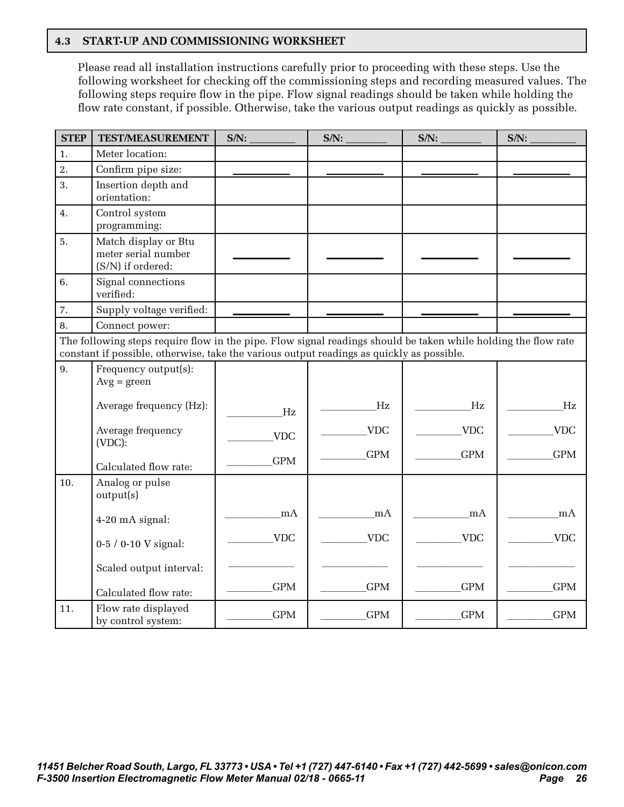#### **4.3 START-UP AND COMMISSIONING WORKSHEET**

Please read all installation instructions carefully prior to proceeding with these steps. Use the following worksheet for checking off the commissioning steps and recording measured values. The following steps require flow in the pipe. Flow signal readings should be taken while holding the flow rate constant, if possible. Otherwise, take the various output readings as quickly as possible.

| <b>STEP</b>      | <b>TEST/MEASUREMENT</b>                                                                                                                                                                                     | $S/N$ :    | $S/N$ :    | $S/N$ :    | $S/N$ :    |
|------------------|-------------------------------------------------------------------------------------------------------------------------------------------------------------------------------------------------------------|------------|------------|------------|------------|
| 1.               | Meter location:                                                                                                                                                                                             |            |            |            |            |
| 2.               | Confirm pipe size:                                                                                                                                                                                          |            |            |            |            |
| 3.               | Insertion depth and<br>orientation:                                                                                                                                                                         |            |            |            |            |
| $\overline{4}$ . | Control system<br>programming:                                                                                                                                                                              |            |            |            |            |
| 5.               | Match display or Btu<br>meter serial number<br>(S/N) if ordered:                                                                                                                                            |            |            |            |            |
| 6.               | Signal connections<br>verified:                                                                                                                                                                             |            |            |            |            |
| 7.               | Supply voltage verified:                                                                                                                                                                                    |            |            |            |            |
| 8.               | Connect power:                                                                                                                                                                                              |            |            |            |            |
|                  | The following steps require flow in the pipe. Flow signal readings should be taken while holding the flow rate<br>constant if possible, otherwise, take the various output readings as quickly as possible. |            |            |            |            |
| 9.               | Frequency output(s):<br>$Avg = green$                                                                                                                                                                       |            |            |            |            |
|                  | Average frequency (Hz):                                                                                                                                                                                     | Hz         | Hz         | Hz         | Hz         |
|                  | Average frequency<br>(VDC):                                                                                                                                                                                 | <b>VDC</b> | <b>VDC</b> | <b>VDC</b> | <b>VDC</b> |
|                  | Calculated flow rate:                                                                                                                                                                                       | <b>GPM</b> | <b>GPM</b> | <b>GPM</b> | <b>GPM</b> |
| 10.              | Analog or pulse<br>output(s)                                                                                                                                                                                |            |            |            |            |
|                  | 4-20 mA signal:                                                                                                                                                                                             | mA         | mA         | mA         | mA         |
|                  | 0-5 / 0-10 V signal:                                                                                                                                                                                        | <b>VDC</b> | <b>VDC</b> | <b>VDC</b> | <b>VDC</b> |
|                  | Scaled output interval:                                                                                                                                                                                     |            |            |            |            |
|                  | Calculated flow rate:                                                                                                                                                                                       | <b>GPM</b> | <b>GPM</b> | <b>GPM</b> | <b>GPM</b> |
| 11.              | Flow rate displayed<br>by control system:                                                                                                                                                                   | <b>GPM</b> | <b>GPM</b> | <b>GPM</b> | <b>GPM</b> |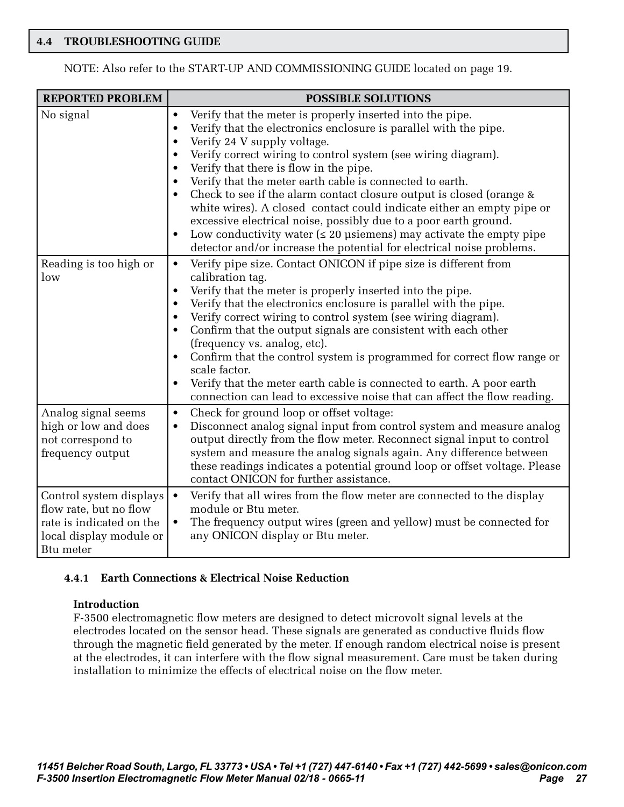#### **4.4 TROUBLESHOOTING GUIDE**

NOTE: Also refer to the START-UP AND COMMISSIONING GUIDE located on page 19.

| <b>REPORTED PROBLEM</b>                                                                                               | <b>POSSIBLE SOLUTIONS</b>                                                                                                                                                                                                                                                                                                                                                                                                                                                                                                                                                                                                                                                                                                                                                                                |
|-----------------------------------------------------------------------------------------------------------------------|----------------------------------------------------------------------------------------------------------------------------------------------------------------------------------------------------------------------------------------------------------------------------------------------------------------------------------------------------------------------------------------------------------------------------------------------------------------------------------------------------------------------------------------------------------------------------------------------------------------------------------------------------------------------------------------------------------------------------------------------------------------------------------------------------------|
| No signal                                                                                                             | Verify that the meter is properly inserted into the pipe.<br>$\bullet$<br>Verify that the electronics enclosure is parallel with the pipe.<br>$\bullet$<br>Verify 24 V supply voltage.<br>$\bullet$<br>Verify correct wiring to control system (see wiring diagram).<br>$\bullet$<br>Verify that there is flow in the pipe.<br>Verify that the meter earth cable is connected to earth.<br>Check to see if the alarm contact closure output is closed (orange &<br>$\bullet$<br>white wires). A closed contact could indicate either an empty pipe or<br>excessive electrical noise, possibly due to a poor earth ground.<br>Low conductivity water $( \leq 20 \text{ \mu} \text{s} i$ may activate the empty pipe<br>$\bullet$<br>detector and/or increase the potential for electrical noise problems. |
| Reading is too high or<br>low                                                                                         | Verify pipe size. Contact ONICON if pipe size is different from<br>$\bullet$<br>calibration tag.<br>Verify that the meter is properly inserted into the pipe.<br>$\bullet$<br>Verify that the electronics enclosure is parallel with the pipe.<br>$\bullet$<br>Verify correct wiring to control system (see wiring diagram).<br>$\bullet$<br>Confirm that the output signals are consistent with each other<br>$\bullet$<br>(frequency vs. analog, etc).<br>Confirm that the control system is programmed for correct flow range or<br>$\bullet$<br>scale factor.<br>Verify that the meter earth cable is connected to earth. A poor earth<br>$\bullet$<br>connection can lead to excessive noise that can affect the flow reading.                                                                      |
| Analog signal seems<br>high or low and does<br>not correspond to<br>frequency output                                  | Check for ground loop or offset voltage:<br>$\bullet$<br>Disconnect analog signal input from control system and measure analog<br>$\bullet$<br>output directly from the flow meter. Reconnect signal input to control<br>system and measure the analog signals again. Any difference between<br>these readings indicates a potential ground loop or offset voltage. Please<br>contact ONICON for further assistance.                                                                                                                                                                                                                                                                                                                                                                                     |
| Control system displays<br>flow rate, but no flow<br>rate is indicated on the<br>local display module or<br>Btu meter | Verify that all wires from the flow meter are connected to the display<br>$\bullet$<br>module or Btu meter.<br>The frequency output wires (green and yellow) must be connected for<br>$\bullet$<br>any ONICON display or Btu meter.                                                                                                                                                                                                                                                                                                                                                                                                                                                                                                                                                                      |

#### **4.4.1 Earth Connections & Electrical Noise Reduction**

#### **Introduction**

F-3500 electromagnetic flow meters are designed to detect microvolt signal levels at the electrodes located on the sensor head. These signals are generated as conductive fluids flow through the magnetic field generated by the meter. If enough random electrical noise is present at the electrodes, it can interfere with the flow signal measurement. Care must be taken during installation to minimize the effects of electrical noise on the flow meter.